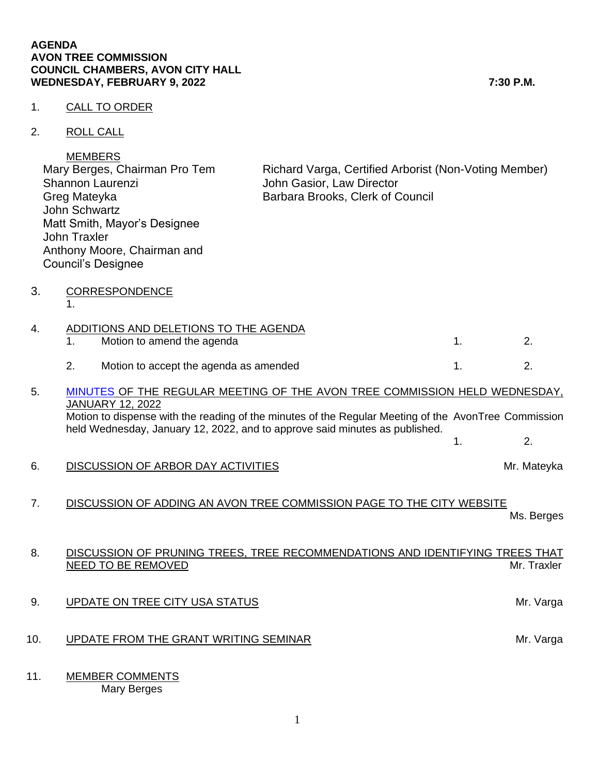## **AGENDA AVON TREE COMMISSION COUNCIL CHAMBERS, AVON CITY HALL WEDNESDAY, FEBRUARY 9, 2022 7:30 P.M.**

## 1. CALL TO ORDER

2. ROLL CALL

|    | <b>MEMBERS</b><br>Mary Berges, Chairman Pro Tem<br>Shannon Laurenzi<br>Greg Mateyka<br><b>John Schwartz</b><br>Matt Smith, Mayor's Designee<br><b>John Traxler</b><br>Anthony Moore, Chairman and<br><b>Council's Designee</b>                                                               | Richard Varga, Certified Arborist (Non-Voting Member)<br>John Gasior, Law Director<br>Barbara Brooks, Clerk of Council |    |             |
|----|----------------------------------------------------------------------------------------------------------------------------------------------------------------------------------------------------------------------------------------------------------------------------------------------|------------------------------------------------------------------------------------------------------------------------|----|-------------|
| 3. | <b>CORRESPONDENCE</b><br>$\mathbf 1$ .                                                                                                                                                                                                                                                       |                                                                                                                        |    |             |
| 4. | ADDITIONS AND DELETIONS TO THE AGENDA<br>1.<br>Motion to amend the agenda                                                                                                                                                                                                                    |                                                                                                                        | 1. | 2.          |
|    | 2.<br>Motion to accept the agenda as amended                                                                                                                                                                                                                                                 |                                                                                                                        | 1. | 2.          |
| 5. | MINUTES OF THE REGULAR MEETING OF THE AVON TREE COMMISSION HELD WEDNESDAY,<br><b>JANUARY 12, 2022</b><br>Motion to dispense with the reading of the minutes of the Regular Meeting of the AvonTree Commission<br>held Wednesday, January 12, 2022, and to approve said minutes as published. |                                                                                                                        | 1. | 2.          |
| 6. | DISCUSSION OF ARBOR DAY ACTIVITIES                                                                                                                                                                                                                                                           |                                                                                                                        |    | Mr. Mateyka |
| 7. | DISCUSSION OF ADDING AN AVON TREE COMMISSION PAGE TO THE CITY WEBSITE                                                                                                                                                                                                                        |                                                                                                                        |    | Ms. Berges  |
| 8. | DISCUSSION OF PRUNING TREES, TREE RECOMMENDATIONS AND IDENTIFYING TREES THAT<br>NEED TO BE REMOVED                                                                                                                                                                                           |                                                                                                                        |    | Mr. Traxler |

- 10. UPDATE FROM THE GRANT WRITING SEMINAR MEASURE THE MINIMUM Mr. Varga
- 11. MEMBER COMMENTS Mary Berges

1

9. UPDATE ON TREE CITY USA STATUS CONSUMING A SERVICE ON TREE CITY USA STATUS